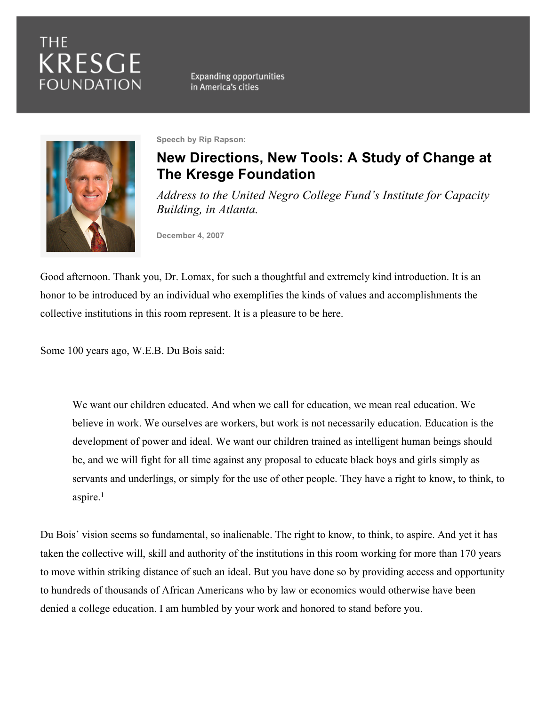# **THE** KRESGE **FOUNDATION**

**Expanding opportunities** in America's cities



**Speech by Rip Rapson:**

## **New Directions, New Tools: A Study of Change at The Kresge Foundation**

*Address to the United Negro College Fund's Institute for Capacity Building, in Atlanta.*

**December 4, 2007**

Good afternoon. Thank you, Dr. Lomax, for such a thoughtful and extremely kind introduction. It is an honor to be introduced by an individual who exemplifies the kinds of values and accomplishments the collective institutions in this room represent. It is a pleasure to be here.

Some 100 years ago, W.E.B. Du Bois said:

We want our children educated. And when we call for education, we mean real education. We believe in work. We ourselves are workers, but work is not necessarily education. Education is the development of power and ideal. We want our children trained as intelligent human beings should be, and we will fight for all time against any proposal to educate black boys and girls simply as servants and underlings, or simply for the use of other people. They have a right to know, to think, to aspire.<sup>1</sup>

Du Bois' vision seems so fundamental, so inalienable. The right to know, to think, to aspire. And yet it has taken the collective will, skill and authority of the institutions in this room working for more than 170 years to move within striking distance of such an ideal. But you have done so by providing access and opportunity to hundreds of thousands of African Americans who by law or economics would otherwise have been denied a college education. I am humbled by your work and honored to stand before you.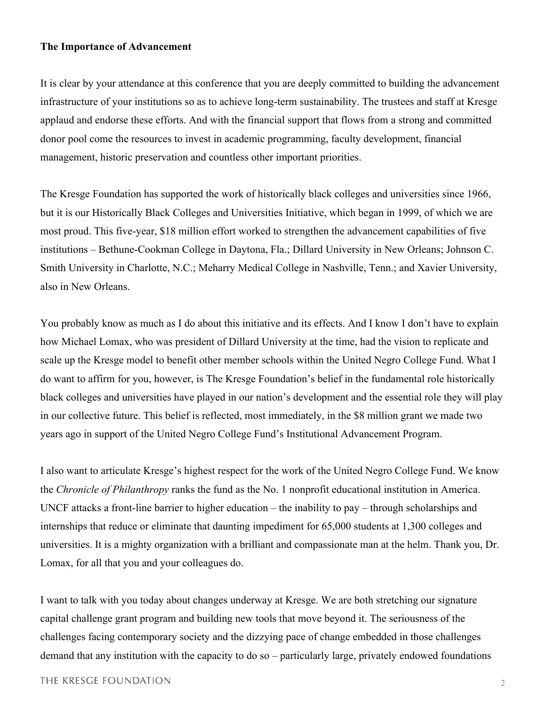#### **The Importance of Advancement**

It is clear by your attendance at this conference that you are deeply committed to building the advancement infrastructure of your institutions so as to achieve long-term sustainability. The trustees and staff at Kresge applaud and endorse these efforts. And with the financial support that flows from a strong and committed donor pool come the resources to invest in academic programming, faculty development, financial management, historic preservation and countless other important priorities.

The Kresge Foundation has supported the work of historically black colleges and universities since 1966, but it is our Historically Black Colleges and Universities Initiative, which began in 1999, of which we are most proud. This five-year, \$18 million effort worked to strengthen the advancement capabilities of five institutions – Bethune-Cookman College in Daytona, Fla.; Dillard University in New Orleans; Johnson C. Smith University in Charlotte, N.C.; Meharry Medical College in Nashville, Tenn.; and Xavier University, also in New Orleans.

You probably know as much as I do about this initiative and its effects. And I know I don't have to explain how Michael Lomax, who was president of Dillard University at the time, had the vision to replicate and scale up the Kresge model to benefit other member schools within the United Negro College Fund. What I do want to affirm for you, however, is The Kresge Foundation's belief in the fundamental role historically black colleges and universities have played in our nation's development and the essential role they will play in our collective future. This belief is reflected, most immediately, in the \$8 million grant we made two years ago in support of the United Negro College Fund's Institutional Advancement Program.

I also want to articulate Kresge's highest respect for the work of the United Negro College Fund. We know the *Chronicle of Philanthropy* ranks the fund as the No. 1 nonprofit educational institution in America. UNCF attacks a front-line barrier to higher education – the inability to pay – through scholarships and internships that reduce or eliminate that daunting impediment for 65,000 students at 1,300 colleges and universities. It is a mighty organization with a brilliant and compassionate man at the helm. Thank you, Dr. Lomax, for all that you and your colleagues do.

I want to talk with you today about changes underway at Kresge. We are both stretching our signature capital challenge grant program and building new tools that move beyond it. The seriousness of the challenges facing contemporary society and the dizzying pace of change embedded in those challenges demand that any institution with the capacity to do so – particularly large, privately endowed foundations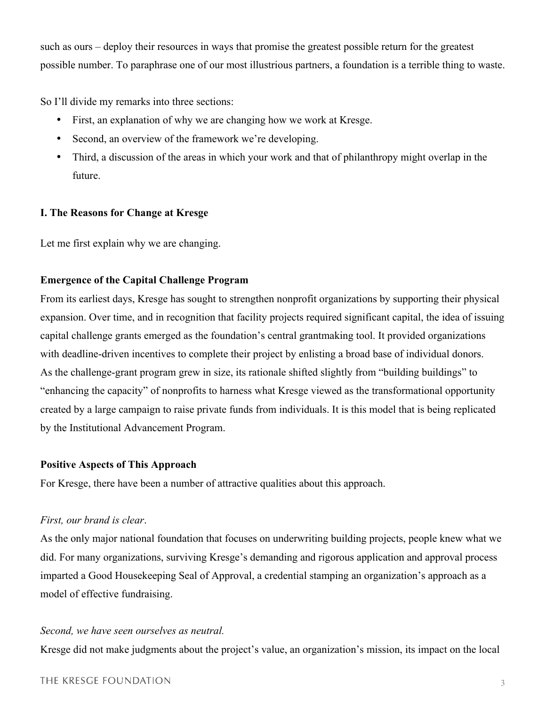such as ours – deploy their resources in ways that promise the greatest possible return for the greatest possible number. To paraphrase one of our most illustrious partners, a foundation is a terrible thing to waste.

So I'll divide my remarks into three sections:

- First, an explanation of why we are changing how we work at Kresge.
- Second, an overview of the framework we're developing.
- Third, a discussion of the areas in which your work and that of philanthropy might overlap in the future.

## **I. The Reasons for Change at Kresge**

Let me first explain why we are changing.

## **Emergence of the Capital Challenge Program**

From its earliest days, Kresge has sought to strengthen nonprofit organizations by supporting their physical expansion. Over time, and in recognition that facility projects required significant capital, the idea of issuing capital challenge grants emerged as the foundation's central grantmaking tool. It provided organizations with deadline-driven incentives to complete their project by enlisting a broad base of individual donors. As the challenge-grant program grew in size, its rationale shifted slightly from "building buildings" to "enhancing the capacity" of nonprofits to harness what Kresge viewed as the transformational opportunity created by a large campaign to raise private funds from individuals. It is this model that is being replicated by the Institutional Advancement Program.

## **Positive Aspects of This Approach**

For Kresge, there have been a number of attractive qualities about this approach.

## *First, our brand is clear*.

As the only major national foundation that focuses on underwriting building projects, people knew what we did. For many organizations, surviving Kresge's demanding and rigorous application and approval process imparted a Good Housekeeping Seal of Approval, a credential stamping an organization's approach as a model of effective fundraising.

## *Second, we have seen ourselves as neutral.*

Kresge did not make judgments about the project's value, an organization's mission, its impact on the local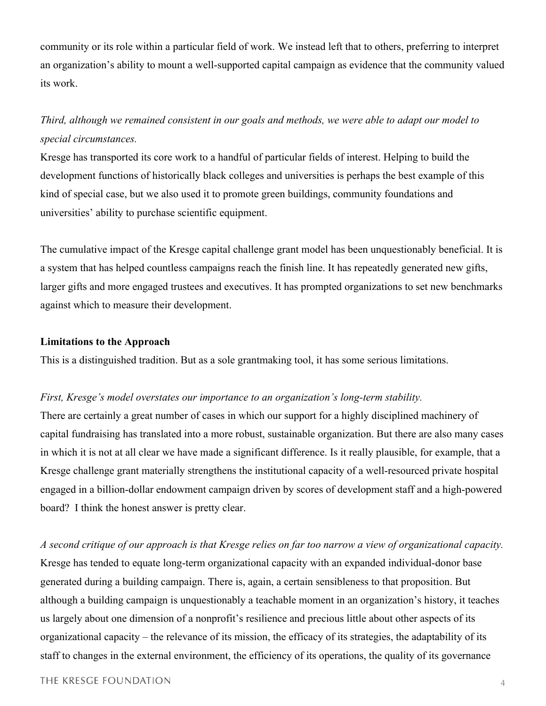community or its role within a particular field of work. We instead left that to others, preferring to interpret an organization's ability to mount a well-supported capital campaign as evidence that the community valued its work.

## *Third, although we remained consistent in our goals and methods, we were able to adapt our model to special circumstances.*

Kresge has transported its core work to a handful of particular fields of interest. Helping to build the development functions of historically black colleges and universities is perhaps the best example of this kind of special case, but we also used it to promote green buildings, community foundations and universities' ability to purchase scientific equipment.

The cumulative impact of the Kresge capital challenge grant model has been unquestionably beneficial. It is a system that has helped countless campaigns reach the finish line. It has repeatedly generated new gifts, larger gifts and more engaged trustees and executives. It has prompted organizations to set new benchmarks against which to measure their development.

#### **Limitations to the Approach**

This is a distinguished tradition. But as a sole grantmaking tool, it has some serious limitations.

#### *First, Kresge's model overstates our importance to an organization's long-term stability.*

There are certainly a great number of cases in which our support for a highly disciplined machinery of capital fundraising has translated into a more robust, sustainable organization. But there are also many cases in which it is not at all clear we have made a significant difference. Is it really plausible, for example, that a Kresge challenge grant materially strengthens the institutional capacity of a well-resourced private hospital engaged in a billion-dollar endowment campaign driven by scores of development staff and a high-powered board? I think the honest answer is pretty clear.

*A second critique of our approach is that Kresge relies on far too narrow a view of organizational capacity.* Kresge has tended to equate long-term organizational capacity with an expanded individual-donor base generated during a building campaign. There is, again, a certain sensibleness to that proposition. But although a building campaign is unquestionably a teachable moment in an organization's history, it teaches us largely about one dimension of a nonprofit's resilience and precious little about other aspects of its organizational capacity – the relevance of its mission, the efficacy of its strategies, the adaptability of its staff to changes in the external environment, the efficiency of its operations, the quality of its governance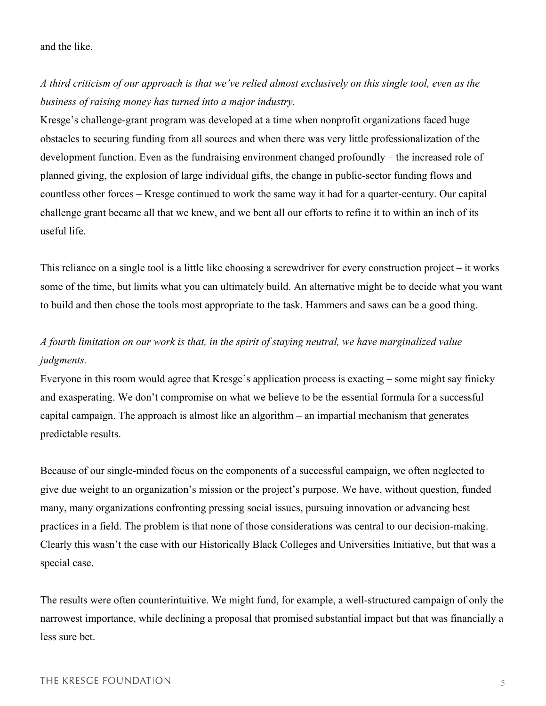### and the like.

*A third criticism of our approach is that we've relied almost exclusively on this single tool, even as the business of raising money has turned into a major industry.*

Kresge's challenge-grant program was developed at a time when nonprofit organizations faced huge obstacles to securing funding from all sources and when there was very little professionalization of the development function. Even as the fundraising environment changed profoundly – the increased role of planned giving, the explosion of large individual gifts, the change in public-sector funding flows and countless other forces – Kresge continued to work the same way it had for a quarter-century. Our capital challenge grant became all that we knew, and we bent all our efforts to refine it to within an inch of its useful life.

This reliance on a single tool is a little like choosing a screwdriver for every construction project – it works some of the time, but limits what you can ultimately build. An alternative might be to decide what you want to build and then chose the tools most appropriate to the task. Hammers and saws can be a good thing.

## *A fourth limitation on our work is that, in the spirit of staying neutral, we have marginalized value judgments.*

Everyone in this room would agree that Kresge's application process is exacting – some might say finicky and exasperating. We don't compromise on what we believe to be the essential formula for a successful capital campaign. The approach is almost like an algorithm – an impartial mechanism that generates predictable results.

Because of our single-minded focus on the components of a successful campaign, we often neglected to give due weight to an organization's mission or the project's purpose. We have, without question, funded many, many organizations confronting pressing social issues, pursuing innovation or advancing best practices in a field. The problem is that none of those considerations was central to our decision-making. Clearly this wasn't the case with our Historically Black Colleges and Universities Initiative, but that was a special case.

The results were often counterintuitive. We might fund, for example, a well-structured campaign of only the narrowest importance, while declining a proposal that promised substantial impact but that was financially a less sure bet.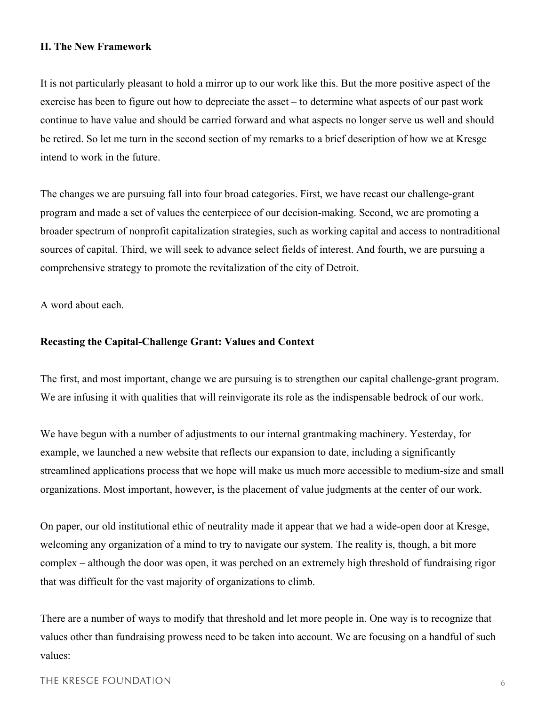### **II. The New Framework**

It is not particularly pleasant to hold a mirror up to our work like this. But the more positive aspect of the exercise has been to figure out how to depreciate the asset – to determine what aspects of our past work continue to have value and should be carried forward and what aspects no longer serve us well and should be retired. So let me turn in the second section of my remarks to a brief description of how we at Kresge intend to work in the future.

The changes we are pursuing fall into four broad categories. First, we have recast our challenge-grant program and made a set of values the centerpiece of our decision-making. Second, we are promoting a broader spectrum of nonprofit capitalization strategies, such as working capital and access to nontraditional sources of capital. Third, we will seek to advance select fields of interest. And fourth, we are pursuing a comprehensive strategy to promote the revitalization of the city of Detroit.

A word about each.

#### **Recasting the Capital-Challenge Grant: Values and Context**

The first, and most important, change we are pursuing is to strengthen our capital challenge-grant program. We are infusing it with qualities that will reinvigorate its role as the indispensable bedrock of our work.

We have begun with a number of adjustments to our internal grantmaking machinery. Yesterday, for example, we launched a new website that reflects our expansion to date, including a significantly streamlined applications process that we hope will make us much more accessible to medium-size and small organizations. Most important, however, is the placement of value judgments at the center of our work.

On paper, our old institutional ethic of neutrality made it appear that we had a wide-open door at Kresge, welcoming any organization of a mind to try to navigate our system. The reality is, though, a bit more complex – although the door was open, it was perched on an extremely high threshold of fundraising rigor that was difficult for the vast majority of organizations to climb.

There are a number of ways to modify that threshold and let more people in. One way is to recognize that values other than fundraising prowess need to be taken into account. We are focusing on a handful of such values:

#### THE KRESGE FOUNDATION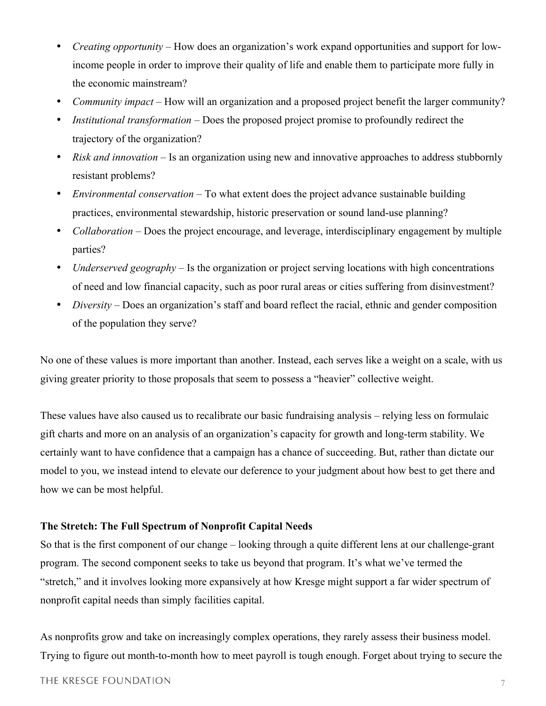- *Creating opportunity* How does an organization's work expand opportunities and support for lowincome people in order to improve their quality of life and enable them to participate more fully in the economic mainstream?
- *Community impact* How will an organization and a proposed project benefit the larger community?
- *Institutional transformation* Does the proposed project promise to profoundly redirect the trajectory of the organization?
- *Risk and innovation* Is an organization using new and innovative approaches to address stubbornly resistant problems?
- *Environmental conservation* To what extent does the project advance sustainable building practices, environmental stewardship, historic preservation or sound land-use planning?
- *Collaboration* Does the project encourage, and leverage, interdisciplinary engagement by multiple parties?
- *Underserved geography* Is the organization or project serving locations with high concentrations of need and low financial capacity, such as poor rural areas or cities suffering from disinvestment?
- *Diversity* Does an organization's staff and board reflect the racial, ethnic and gender composition of the population they serve?

No one of these values is more important than another. Instead, each serves like a weight on a scale, with us giving greater priority to those proposals that seem to possess a "heavier" collective weight.

These values have also caused us to recalibrate our basic fundraising analysis – relying less on formulaic gift charts and more on an analysis of an organization's capacity for growth and long-term stability. We certainly want to have confidence that a campaign has a chance of succeeding. But, rather than dictate our model to you, we instead intend to elevate our deference to your judgment about how best to get there and how we can be most helpful.

### **The Stretch: The Full Spectrum of Nonprofit Capital Needs**

So that is the first component of our change – looking through a quite different lens at our challenge-grant program. The second component seeks to take us beyond that program. It's what we've termed the "stretch," and it involves looking more expansively at how Kresge might support a far wider spectrum of nonprofit capital needs than simply facilities capital.

As nonprofits grow and take on increasingly complex operations, they rarely assess their business model. Trying to figure out month-to-month how to meet payroll is tough enough. Forget about trying to secure the

#### THE KRESGE FOUNDATION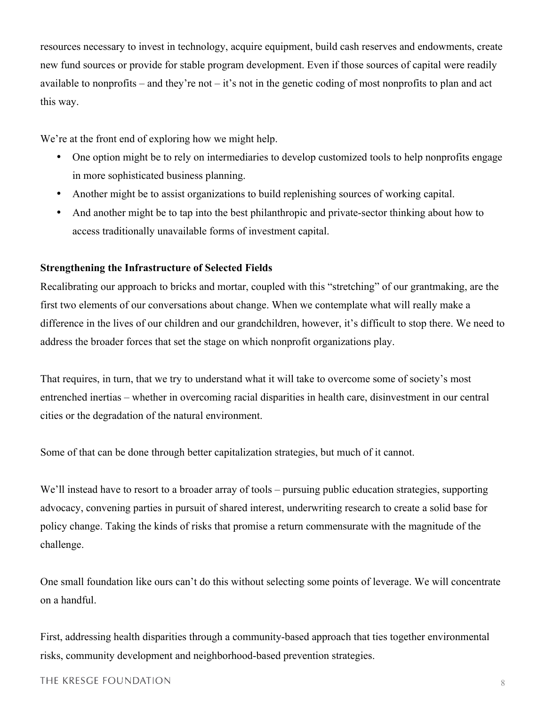resources necessary to invest in technology, acquire equipment, build cash reserves and endowments, create new fund sources or provide for stable program development. Even if those sources of capital were readily available to nonprofits – and they're not – it's not in the genetic coding of most nonprofits to plan and act this way.

We're at the front end of exploring how we might help.

- One option might be to rely on intermediaries to develop customized tools to help nonprofits engage in more sophisticated business planning.
- Another might be to assist organizations to build replenishing sources of working capital.
- And another might be to tap into the best philanthropic and private-sector thinking about how to access traditionally unavailable forms of investment capital.

### **Strengthening the Infrastructure of Selected Fields**

Recalibrating our approach to bricks and mortar, coupled with this "stretching" of our grantmaking, are the first two elements of our conversations about change. When we contemplate what will really make a difference in the lives of our children and our grandchildren, however, it's difficult to stop there. We need to address the broader forces that set the stage on which nonprofit organizations play.

That requires, in turn, that we try to understand what it will take to overcome some of society's most entrenched inertias – whether in overcoming racial disparities in health care, disinvestment in our central cities or the degradation of the natural environment.

Some of that can be done through better capitalization strategies, but much of it cannot.

We'll instead have to resort to a broader array of tools – pursuing public education strategies, supporting advocacy, convening parties in pursuit of shared interest, underwriting research to create a solid base for policy change. Taking the kinds of risks that promise a return commensurate with the magnitude of the challenge.

One small foundation like ours can't do this without selecting some points of leverage. We will concentrate on a handful.

First, addressing health disparities through a community-based approach that ties together environmental risks, community development and neighborhood-based prevention strategies.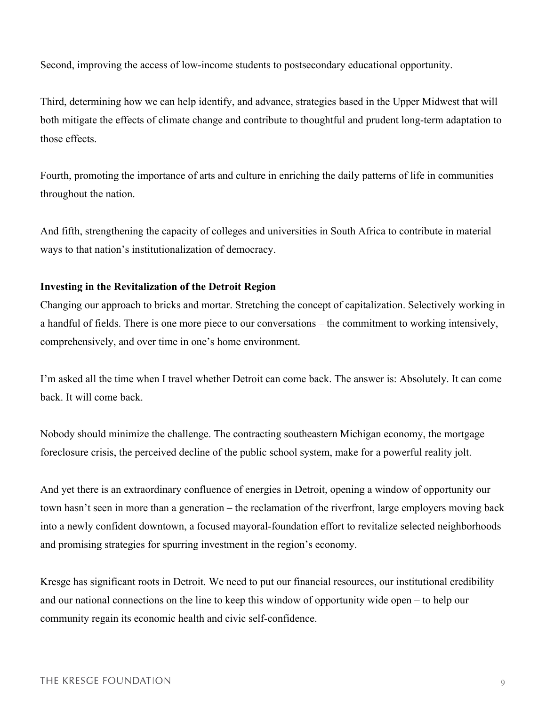Second, improving the access of low-income students to postsecondary educational opportunity.

Third, determining how we can help identify, and advance, strategies based in the Upper Midwest that will both mitigate the effects of climate change and contribute to thoughtful and prudent long-term adaptation to those effects.

Fourth, promoting the importance of arts and culture in enriching the daily patterns of life in communities throughout the nation.

And fifth, strengthening the capacity of colleges and universities in South Africa to contribute in material ways to that nation's institutionalization of democracy.

### **Investing in the Revitalization of the Detroit Region**

Changing our approach to bricks and mortar. Stretching the concept of capitalization. Selectively working in a handful of fields. There is one more piece to our conversations – the commitment to working intensively, comprehensively, and over time in one's home environment.

I'm asked all the time when I travel whether Detroit can come back. The answer is: Absolutely. It can come back. It will come back.

Nobody should minimize the challenge. The contracting southeastern Michigan economy, the mortgage foreclosure crisis, the perceived decline of the public school system, make for a powerful reality jolt.

And yet there is an extraordinary confluence of energies in Detroit, opening a window of opportunity our town hasn't seen in more than a generation – the reclamation of the riverfront, large employers moving back into a newly confident downtown, a focused mayoral-foundation effort to revitalize selected neighborhoods and promising strategies for spurring investment in the region's economy.

Kresge has significant roots in Detroit. We need to put our financial resources, our institutional credibility and our national connections on the line to keep this window of opportunity wide open – to help our community regain its economic health and civic self-confidence.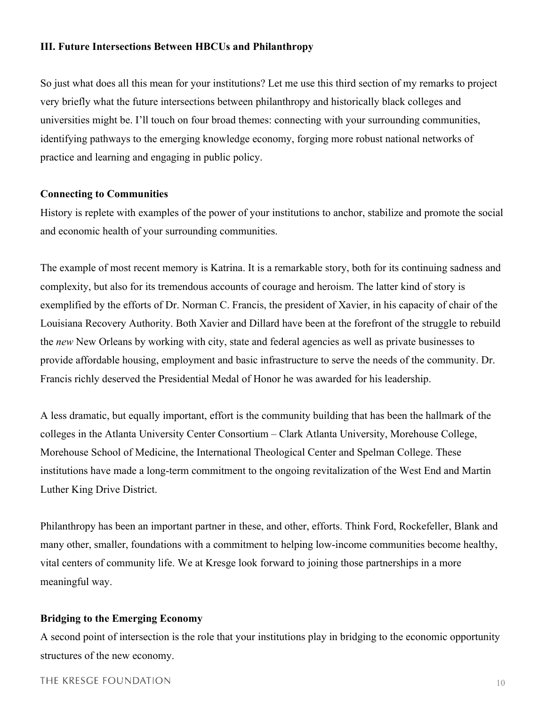#### **III. Future Intersections Between HBCUs and Philanthropy**

So just what does all this mean for your institutions? Let me use this third section of my remarks to project very briefly what the future intersections between philanthropy and historically black colleges and universities might be. I'll touch on four broad themes: connecting with your surrounding communities, identifying pathways to the emerging knowledge economy, forging more robust national networks of practice and learning and engaging in public policy.

#### **Connecting to Communities**

History is replete with examples of the power of your institutions to anchor, stabilize and promote the social and economic health of your surrounding communities.

The example of most recent memory is Katrina. It is a remarkable story, both for its continuing sadness and complexity, but also for its tremendous accounts of courage and heroism. The latter kind of story is exemplified by the efforts of Dr. Norman C. Francis, the president of Xavier, in his capacity of chair of the Louisiana Recovery Authority. Both Xavier and Dillard have been at the forefront of the struggle to rebuild the *new* New Orleans by working with city, state and federal agencies as well as private businesses to provide affordable housing, employment and basic infrastructure to serve the needs of the community. Dr. Francis richly deserved the Presidential Medal of Honor he was awarded for his leadership.

A less dramatic, but equally important, effort is the community building that has been the hallmark of the colleges in the Atlanta University Center Consortium – Clark Atlanta University, Morehouse College, Morehouse School of Medicine, the International Theological Center and Spelman College. These institutions have made a long-term commitment to the ongoing revitalization of the West End and Martin Luther King Drive District.

Philanthropy has been an important partner in these, and other, efforts. Think Ford, Rockefeller, Blank and many other, smaller, foundations with a commitment to helping low-income communities become healthy, vital centers of community life. We at Kresge look forward to joining those partnerships in a more meaningful way.

#### **Bridging to the Emerging Economy**

A second point of intersection is the role that your institutions play in bridging to the economic opportunity structures of the new economy.

#### THE KRESGE FOUNDATION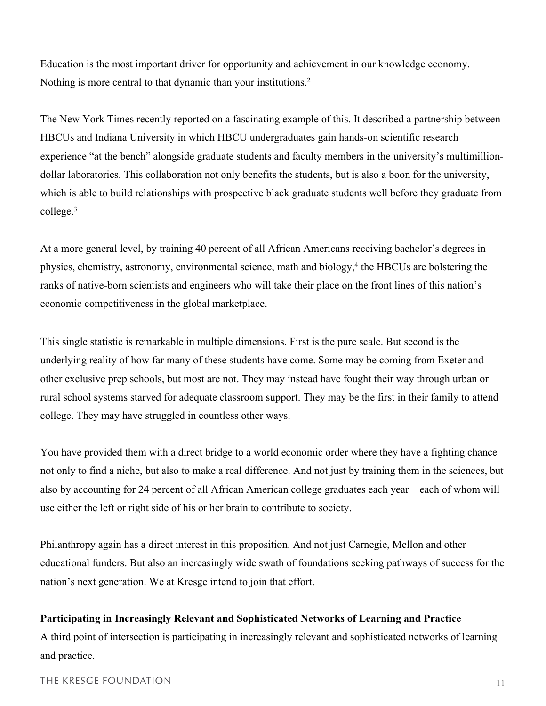Education is the most important driver for opportunity and achievement in our knowledge economy. Nothing is more central to that dynamic than your institutions.<sup>2</sup>

The New York Times recently reported on a fascinating example of this. It described a partnership between HBCUs and Indiana University in which HBCU undergraduates gain hands-on scientific research experience "at the bench" alongside graduate students and faculty members in the university's multimilliondollar laboratories. This collaboration not only benefits the students, but is also a boon for the university, which is able to build relationships with prospective black graduate students well before they graduate from college.<sup>3</sup>

At a more general level, by training 40 percent of all African Americans receiving bachelor's degrees in physics, chemistry, astronomy, environmental science, math and biology,<sup>4</sup> the HBCUs are bolstering the ranks of native-born scientists and engineers who will take their place on the front lines of this nation's economic competitiveness in the global marketplace.

This single statistic is remarkable in multiple dimensions. First is the pure scale. But second is the underlying reality of how far many of these students have come. Some may be coming from Exeter and other exclusive prep schools, but most are not. They may instead have fought their way through urban or rural school systems starved for adequate classroom support. They may be the first in their family to attend college. They may have struggled in countless other ways.

You have provided them with a direct bridge to a world economic order where they have a fighting chance not only to find a niche, but also to make a real difference. And not just by training them in the sciences, but also by accounting for 24 percent of all African American college graduates each year – each of whom will use either the left or right side of his or her brain to contribute to society.

Philanthropy again has a direct interest in this proposition. And not just Carnegie, Mellon and other educational funders. But also an increasingly wide swath of foundations seeking pathways of success for the nation's next generation. We at Kresge intend to join that effort.

### **Participating in Increasingly Relevant and Sophisticated Networks of Learning and Practice**

A third point of intersection is participating in increasingly relevant and sophisticated networks of learning and practice.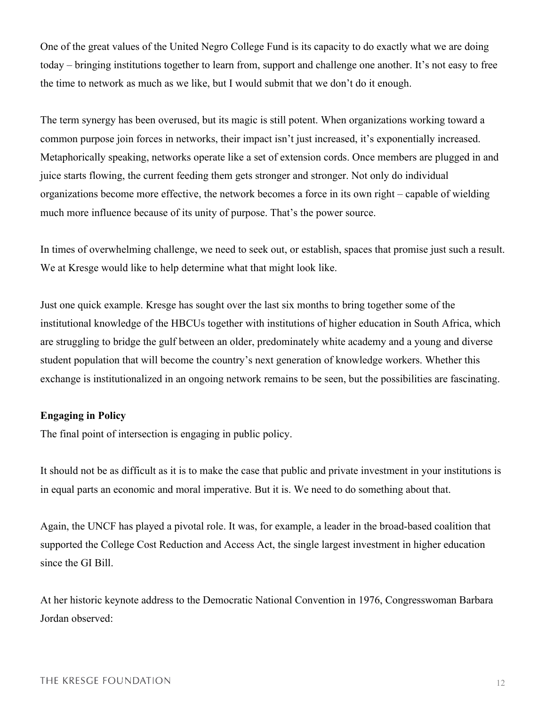One of the great values of the United Negro College Fund is its capacity to do exactly what we are doing today – bringing institutions together to learn from, support and challenge one another. It's not easy to free the time to network as much as we like, but I would submit that we don't do it enough.

The term synergy has been overused, but its magic is still potent. When organizations working toward a common purpose join forces in networks, their impact isn't just increased, it's exponentially increased. Metaphorically speaking, networks operate like a set of extension cords. Once members are plugged in and juice starts flowing, the current feeding them gets stronger and stronger. Not only do individual organizations become more effective, the network becomes a force in its own right – capable of wielding much more influence because of its unity of purpose. That's the power source.

In times of overwhelming challenge, we need to seek out, or establish, spaces that promise just such a result. We at Kresge would like to help determine what that might look like.

Just one quick example. Kresge has sought over the last six months to bring together some of the institutional knowledge of the HBCUs together with institutions of higher education in South Africa, which are struggling to bridge the gulf between an older, predominately white academy and a young and diverse student population that will become the country's next generation of knowledge workers. Whether this exchange is institutionalized in an ongoing network remains to be seen, but the possibilities are fascinating.

## **Engaging in Policy**

The final point of intersection is engaging in public policy.

It should not be as difficult as it is to make the case that public and private investment in your institutions is in equal parts an economic and moral imperative. But it is. We need to do something about that.

Again, the UNCF has played a pivotal role. It was, for example, a leader in the broad-based coalition that supported the College Cost Reduction and Access Act, the single largest investment in higher education since the GI Bill.

At her historic keynote address to the Democratic National Convention in 1976, Congresswoman Barbara Jordan observed: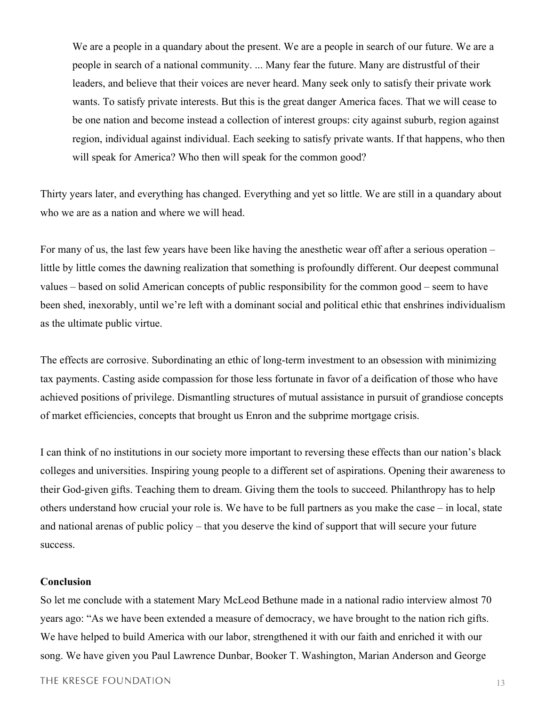We are a people in a quandary about the present. We are a people in search of our future. We are a people in search of a national community. ... Many fear the future. Many are distrustful of their leaders, and believe that their voices are never heard. Many seek only to satisfy their private work wants. To satisfy private interests. But this is the great danger America faces. That we will cease to be one nation and become instead a collection of interest groups: city against suburb, region against region, individual against individual. Each seeking to satisfy private wants. If that happens, who then will speak for America? Who then will speak for the common good?

Thirty years later, and everything has changed. Everything and yet so little. We are still in a quandary about who we are as a nation and where we will head.

For many of us, the last few years have been like having the anesthetic wear off after a serious operation – little by little comes the dawning realization that something is profoundly different. Our deepest communal values – based on solid American concepts of public responsibility for the common good – seem to have been shed, inexorably, until we're left with a dominant social and political ethic that enshrines individualism as the ultimate public virtue.

The effects are corrosive. Subordinating an ethic of long-term investment to an obsession with minimizing tax payments. Casting aside compassion for those less fortunate in favor of a deification of those who have achieved positions of privilege. Dismantling structures of mutual assistance in pursuit of grandiose concepts of market efficiencies, concepts that brought us Enron and the subprime mortgage crisis.

I can think of no institutions in our society more important to reversing these effects than our nation's black colleges and universities. Inspiring young people to a different set of aspirations. Opening their awareness to their God-given gifts. Teaching them to dream. Giving them the tools to succeed. Philanthropy has to help others understand how crucial your role is. We have to be full partners as you make the case – in local, state and national arenas of public policy – that you deserve the kind of support that will secure your future success.

#### **Conclusion**

So let me conclude with a statement Mary McLeod Bethune made in a national radio interview almost 70 years ago: "As we have been extended a measure of democracy, we have brought to the nation rich gifts. We have helped to build America with our labor, strengthened it with our faith and enriched it with our song. We have given you Paul Lawrence Dunbar, Booker T. Washington, Marian Anderson and George